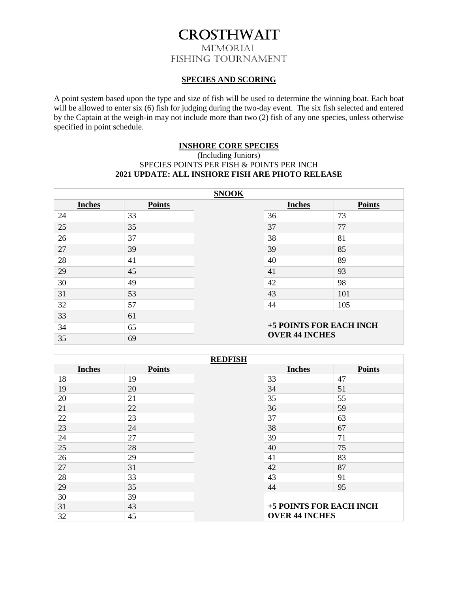## CROSTHWAIT MEMORIAL FISHING TOURNAMENT

#### **SPECIES AND SCORING**

A point system based upon the type and size of fish will be used to determine the winning boat. Each boat will be allowed to enter six (6) fish for judging during the two-day event. The six fish selected and entered by the Captain at the weigh-in may not include more than two (2) fish of any one species, unless otherwise specified in point schedule.

#### **INSHORE CORE SPECIES**

#### (Including Juniors) SPECIES POINTS PER FISH & POINTS PER INCH **2021 UPDATE: ALL INSHORE FISH ARE PHOTO RELEASE**

| <b>SNOOK</b>  |               |  |                         |               |
|---------------|---------------|--|-------------------------|---------------|
| <b>Inches</b> | <b>Points</b> |  | <b>Inches</b>           | <b>Points</b> |
| 24            | 33            |  | 36                      | 73            |
| 25            | 35            |  | 37                      | 77            |
| 26            | 37            |  | 38                      | 81            |
| 27            | 39            |  | 39                      | 85            |
| 28            | 41            |  | 40                      | 89            |
| 29            | 45            |  | 41                      | 93            |
| 30            | 49            |  | 42                      | 98            |
| 31            | 53            |  | 43                      | 101           |
| 32            | 57            |  | 44                      | 105           |
| 33            | 61            |  |                         |               |
| 34            | 65            |  | +5 POINTS FOR EACH INCH |               |
| 35            | 69            |  | <b>OVER 44 INCHES</b>   |               |

| <b>REDFISH</b> |               |  |                         |               |
|----------------|---------------|--|-------------------------|---------------|
| <b>Inches</b>  | <b>Points</b> |  | <b>Inches</b>           | <b>Points</b> |
| 18             | 19            |  | 33                      | 47            |
| 19             | 20            |  | 34                      | 51            |
| 20             | 21            |  | 35                      | 55            |
| 21             | 22            |  | 36                      | 59            |
| 22             | 23            |  | 37                      | 63            |
| 23             | 24            |  | 38                      | 67            |
| 24             | 27            |  | 39                      | 71            |
| 25             | 28            |  | 40                      | 75            |
| 26             | 29            |  | 41                      | 83            |
| 27             | 31            |  | 42                      | 87            |
| 28             | 33            |  | 43                      | 91            |
| 29             | 35            |  | 44                      | 95            |
| 30             | 39            |  |                         |               |
| 31             | 43            |  | +5 POINTS FOR EACH INCH |               |
| 32             | 45            |  | <b>OVER 44 INCHES</b>   |               |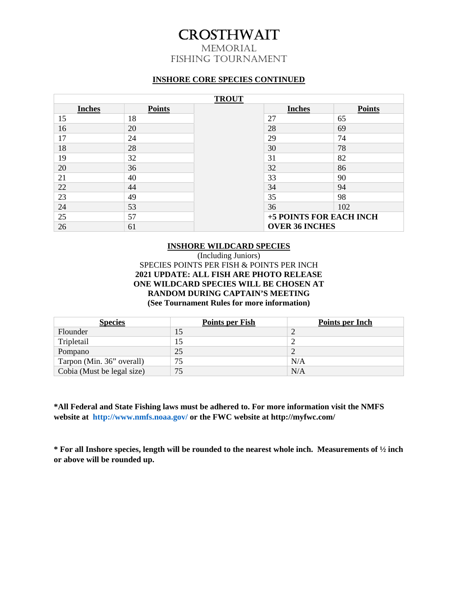# CROSTHWAIT

MEMORIAL FISHING TOURNAMENT

#### **INSHORE CORE SPECIES CONTINUED**

| <b>TROUT</b>  |               |  |                         |               |
|---------------|---------------|--|-------------------------|---------------|
| <b>Inches</b> | <b>Points</b> |  | <b>Inches</b>           | <b>Points</b> |
| 15            | 18            |  | 27                      | 65            |
| 16            | 20            |  | 28                      | 69            |
| 17            | 24            |  | 29                      | 74            |
| 18            | 28            |  | 30                      | 78            |
| 19            | 32            |  | 31                      | 82            |
| 20            | 36            |  | 32                      | 86            |
| 21            | 40            |  | 33                      | 90            |
| 22            | 44            |  | 34                      | 94            |
| 23            | 49            |  | 35                      | 98            |
| 24            | 53            |  | 36                      | 102           |
| 25            | 57            |  | +5 POINTS FOR EACH INCH |               |
| 26            | 61            |  | <b>OVER 36 INCHES</b>   |               |

#### **INSHORE WILDCARD SPECIES**

#### (Including Juniors) SPECIES POINTS PER FISH & POINTS PER INCH **2021 UPDATE: ALL FISH ARE PHOTO RELEASE ONE WILDCARD SPECIES WILL BE CHOSEN AT RANDOM DURING CAPTAIN'S MEETING (See Tournament Rules for more information)**

| <b>Species</b>             | <b>Points per Fish</b> | Points per Inch |
|----------------------------|------------------------|-----------------|
| Flounder                   |                        |                 |
| Tripletail                 |                        |                 |
| Pompano                    | 25                     |                 |
| Tarpon (Min. 36" overall)  | 75                     | N/A             |
| Cobia (Must be legal size) | 75                     | N/A             |

**\*All Federal and State Fishing laws must be adhered to. For more information visit the NMFS website at http://www.nmfs.noaa.gov/ or the FWC website at http://myfwc.com/** 

**\* For all Inshore species, length will be rounded to the nearest whole inch. Measurements of ½ inch or above will be rounded up.**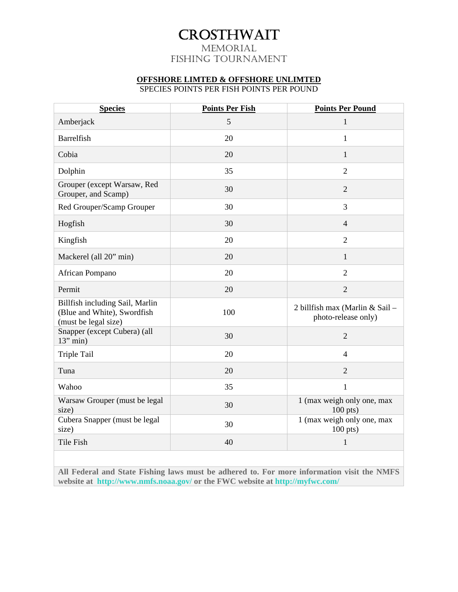## CROSTHWAIT MEMORIAL

## FISHING TOURNAMENT

### **OFFSHORE LIMTED & OFFSHORE UNLIMTED**

SPECIES POINTS PER FISH POINTS PER POUND

| <b>Species</b>                                                                         | <b>Points Per Fish</b> | <b>Points Per Pound</b>                                |
|----------------------------------------------------------------------------------------|------------------------|--------------------------------------------------------|
| Amberjack                                                                              | 5                      | $\mathbf{1}$                                           |
| Barrelfish                                                                             | 20                     | $\mathbf{1}$                                           |
| Cobia                                                                                  | 20                     | 1                                                      |
| Dolphin                                                                                | 35                     | $\overline{2}$                                         |
| Grouper (except Warsaw, Red<br>Grouper, and Scamp)                                     | 30                     | $\overline{2}$                                         |
| Red Grouper/Scamp Grouper                                                              | 30                     | 3                                                      |
| Hogfish                                                                                | 30                     | $\overline{4}$                                         |
| Kingfish                                                                               | 20                     | $\overline{2}$                                         |
| Mackerel (all 20" min)                                                                 | 20                     | $\mathbf{1}$                                           |
| African Pompano                                                                        | 20                     | $\overline{2}$                                         |
| Permit                                                                                 | 20                     | $\overline{2}$                                         |
| Billfish including Sail, Marlin<br>(Blue and White), Swordfish<br>(must be legal size) | 100                    | 2 billfish max (Marlin & Sail -<br>photo-release only) |
| Snapper (except Cubera) (all<br>$13''$ min)                                            | 30                     | $\overline{2}$                                         |
| Triple Tail                                                                            | 20                     | $\overline{4}$                                         |
| Tuna                                                                                   | 20                     | $\overline{2}$                                         |
| Wahoo                                                                                  | 35                     | $\mathbf{1}$                                           |
| Warsaw Grouper (must be legal<br>size)                                                 | 30                     | 1 (max weigh only one, max<br>$100$ pts)               |
| Cubera Snapper (must be legal<br>size)                                                 | 30                     | 1 (max weigh only one, max<br>$100$ pts)               |
| Tile Fish                                                                              | 40                     | $\mathbf{1}$                                           |

**All Federal and State Fishing laws must be adhered to. For more information visit the NMFS website at http://www.nmfs.noaa.gov/ or the FWC website at http://myfwc.com/**